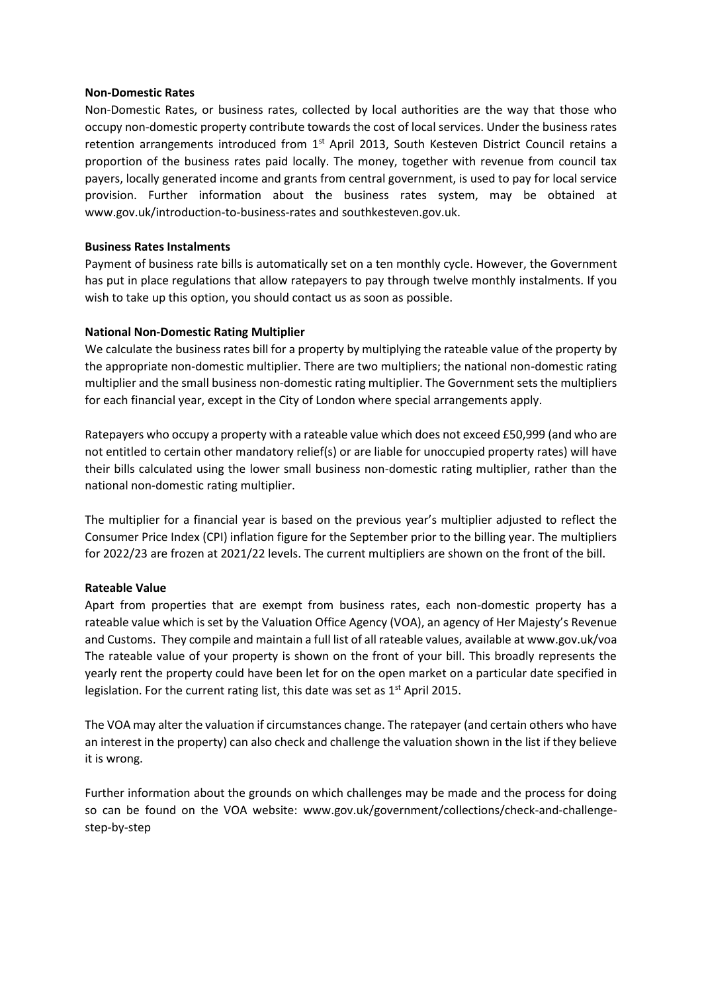#### **Non-Domestic Rates**

Non-Domestic Rates, or business rates, collected by local authorities are the way that those who occupy non-domestic property contribute towards the cost of local services. Under the business rates retention arrangements introduced from 1<sup>st</sup> April 2013, South Kesteven District Council retains a proportion of the business rates paid locally. The money, together with revenue from council tax payers, locally generated income and grants from central government, is used to pay for local service provision. Further information about the business rates system, may be obtained at www.gov.uk/introduction-to-business-rates and southkesteven.gov.uk.

## **Business Rates Instalments**

Payment of business rate bills is automatically set on a ten monthly cycle. However, the Government has put in place regulations that allow ratepayers to pay through twelve monthly instalments. If you wish to take up this option, you should contact us as soon as possible.

# **National Non-Domestic Rating Multiplier**

We calculate the business rates bill for a property by multiplying the rateable value of the property by the appropriate non-domestic multiplier. There are two multipliers; the national non-domestic rating multiplier and the small business non-domestic rating multiplier. The Government sets the multipliers for each financial year, except in the City of London where special arrangements apply.

Ratepayers who occupy a property with a rateable value which does not exceed £50,999 (and who are not entitled to certain other mandatory relief(s) or are liable for unoccupied property rates) will have their bills calculated using the lower small business non-domestic rating multiplier, rather than the national non-domestic rating multiplier.

The multiplier for a financial year is based on the previous year's multiplier adjusted to reflect the Consumer Price Index (CPI) inflation figure for the September prior to the billing year. The multipliers for 2022/23 are frozen at 2021/22 levels. The current multipliers are shown on the front of the bill.

## **Rateable Value**

Apart from properties that are exempt from business rates, each non-domestic property has a rateable value which is set by the Valuation Office Agency (VOA), an agency of Her Majesty's Revenue and Customs. They compile and maintain a full list of all rateable values, available at www.gov.uk/voa The rateable value of your property is shown on the front of your bill. This broadly represents the yearly rent the property could have been let for on the open market on a particular date specified in legislation. For the current rating list, this date was set as  $1<sup>st</sup>$  April 2015.

The VOA may alter the valuation if circumstances change. The ratepayer (and certain others who have an interest in the property) can also check and challenge the valuation shown in the list if they believe it is wrong.

Further information about the grounds on which challenges may be made and the process for doing so can be found on the VOA website: www.gov.uk/government/collections/check-and-challengestep-by-step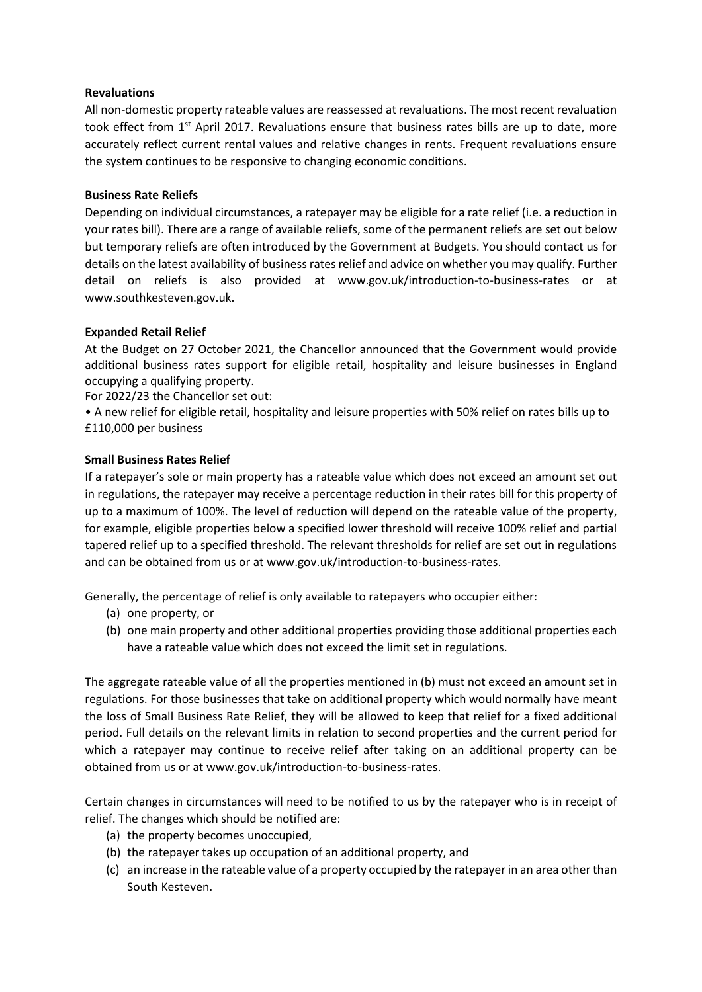## **Revaluations**

All non-domestic property rateable values are reassessed at revaluations. The most recent revaluation took effect from 1<sup>st</sup> April 2017. Revaluations ensure that business rates bills are up to date, more accurately reflect current rental values and relative changes in rents. Frequent revaluations ensure the system continues to be responsive to changing economic conditions.

# **Business Rate Reliefs**

Depending on individual circumstances, a ratepayer may be eligible for a rate relief (i.e. a reduction in your rates bill). There are a range of available reliefs, some of the permanent reliefs are set out below but temporary reliefs are often introduced by the Government at Budgets. You should contact us for details on the latest availability of business rates relief and advice on whether you may qualify. Further detail on reliefs is also provided at www.gov.uk/introduction-to-business-rates or at www.southkesteven.gov.uk.

# **Expanded Retail Relief**

At the Budget on 27 October 2021, the Chancellor announced that the Government would provide additional business rates support for eligible retail, hospitality and leisure businesses in England occupying a qualifying property.

For 2022/23 the Chancellor set out:

• A new relief for eligible retail, hospitality and leisure properties with 50% relief on rates bills up to £110,000 per business

# **Small Business Rates Relief**

If a ratepayer's sole or main property has a rateable value which does not exceed an amount set out in regulations, the ratepayer may receive a percentage reduction in their rates bill for this property of up to a maximum of 100%. The level of reduction will depend on the rateable value of the property, for example, eligible properties below a specified lower threshold will receive 100% relief and partial tapered relief up to a specified threshold. The relevant thresholds for relief are set out in regulations and can be obtained from us or at www.gov.uk/introduction-to-business-rates.

Generally, the percentage of relief is only available to ratepayers who occupier either:

- (a) one property, or
- (b) one main property and other additional properties providing those additional properties each have a rateable value which does not exceed the limit set in regulations.

The aggregate rateable value of all the properties mentioned in (b) must not exceed an amount set in regulations. For those businesses that take on additional property which would normally have meant the loss of Small Business Rate Relief, they will be allowed to keep that relief for a fixed additional period. Full details on the relevant limits in relation to second properties and the current period for which a ratepayer may continue to receive relief after taking on an additional property can be obtained from us or at www.gov.uk/introduction-to-business-rates.

Certain changes in circumstances will need to be notified to us by the ratepayer who is in receipt of relief. The changes which should be notified are:

- (a) the property becomes unoccupied,
- (b) the ratepayer takes up occupation of an additional property, and
- (c) an increase in the rateable value of a property occupied by the ratepayer in an area other than South Kesteven.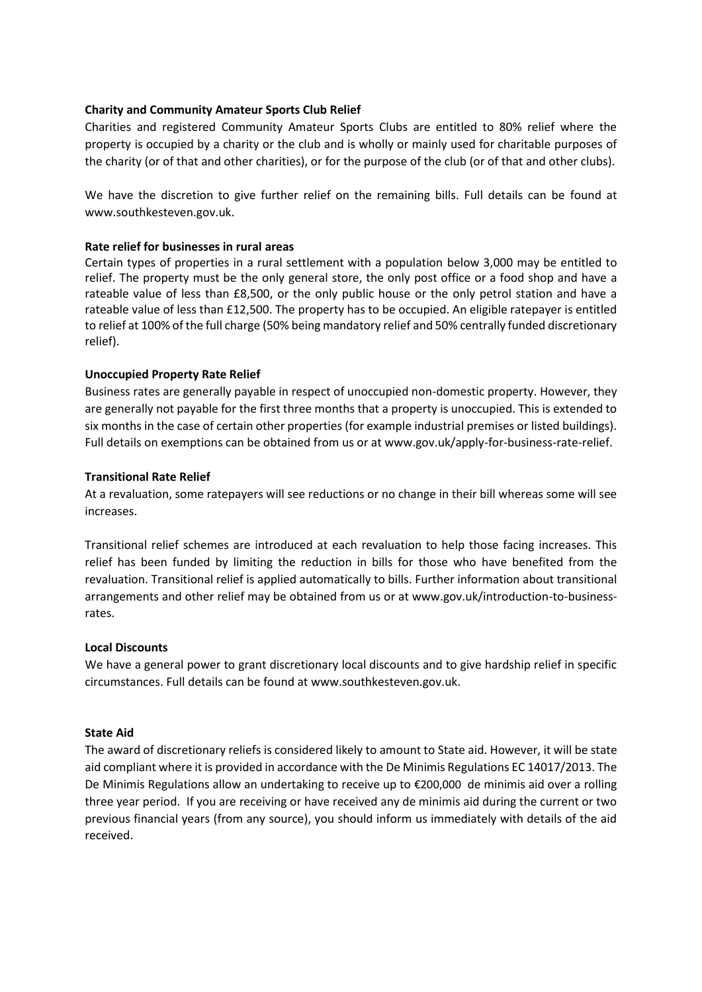## **Charity and Community Amateur Sports Club Relief**

Charities and registered Community Amateur Sports Clubs are entitled to 80% relief where the property is occupied by a charity or the club and is wholly or mainly used for charitable purposes of the charity (or of that and other charities), or for the purpose of the club (or of that and other clubs).

We have the discretion to give further relief on the remaining bills. Full details can be found at www.southkesteven.gov.uk.

## **Rate relief for businesses in rural areas**

Certain types of properties in a rural settlement with a population below 3,000 may be entitled to relief. The property must be the only general store, the only post office or a food shop and have a rateable value of less than £8,500, or the only public house or the only petrol station and have a rateable value of less than £12,500. The property has to be occupied. An eligible ratepayer is entitled to relief at 100% of the full charge (50% being mandatory relief and 50% centrally funded discretionary relief).

#### **Unoccupied Property Rate Relief**

Business rates are generally payable in respect of unoccupied non-domestic property. However, they are generally not payable for the first three months that a property is unoccupied. This is extended to six months in the case of certain other properties (for example industrial premises or listed buildings). Full details on exemptions can be obtained from us or at www.gov.uk/apply-for-business-rate-relief.

#### **Transitional Rate Relief**

At a revaluation, some ratepayers will see reductions or no change in their bill whereas some will see increases.

Transitional relief schemes are introduced at each revaluation to help those facing increases. This relief has been funded by limiting the reduction in bills for those who have benefited from the revaluation. Transitional relief is applied automatically to bills. Further information about transitional arrangements and other relief may be obtained from us or at www.gov.uk/introduction-to-businessrates.

## **Local Discounts**

We have a general power to grant discretionary local discounts and to give hardship relief in specific circumstances. Full details can be found at www.southkesteven.gov.uk.

#### **State Aid**

The award of discretionary reliefs is considered likely to amount to State aid. However, it will be state aid compliant where it is provided in accordance with the De Minimis Regulations EC 14017/2013. The De Minimis Regulations allow an undertaking to receive up to €200,000 de minimis aid over a rolling three year period. If you are receiving or have received any de minimis aid during the current or two previous financial years (from any source), you should inform us immediately with details of the aid received.